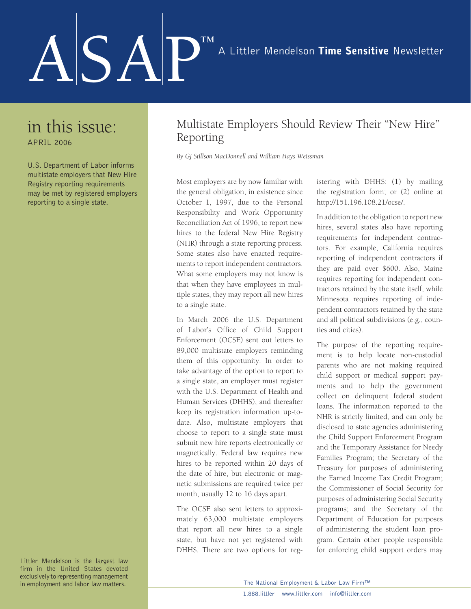## ASAP™

## in this issue: APRIL 2006

U.S. Department of Labor informs multistate employers that New Hire Registry reporting requirements may be met by registered employers reporting to a single state.

Multistate Employers Should Review Their "New Hire" Reporting

*By GJ Stillson MacDonnell and William Hays Weissman* 

Most employers are by now familiar with the general obligation, in existence since October 1, 1997, due to the Personal Responsibility and Work Opportunity Reconciliation Act of 1996, to report new hires to the federal New Hire Registry (NHR) through a state reporting process. Some states also have enacted requirements to report independent contractors. What some employers may not know is that when they have employees in multiple states, they may report all new hires to a single state.

In March 2006 the U.S. Department of Labor's Office of Child Support Enforcement (OCSE) sent out letters to 89,000 multistate employers reminding them of this opportunity. In order to take advantage of the option to report to a single state, an employer must register with the U.S. Department of Health and Human Services (DHHS), and thereafter keep its registration information up-todate. Also, multistate employers that choose to report to a single state must submit new hire reports electronically or magnetically. Federal law requires new hires to be reported within 20 days of the date of hire, but electronic or magnetic submissions are required twice per month, usually 12 to 16 days apart.

The OCSE also sent letters to approximately 63,000 multistate employers that report all new hires to a single state, but have not yet registered with DHHS. There are two options for registering with DHHS: (1) by mailing the registration form; or (2) online at http://151.196.108.21/ocse/.

In addition to the obligation to report new hires, several states also have reporting requirements for independent contractors. For example, California requires reporting of independent contractors if they are paid over \$600. Also, Maine requires reporting for independent contractors retained by the state itself, while Minnesota requires reporting of independent contractors retained by the state and all political subdivisions (e.g., counties and cities).

The purpose of the reporting requirement is to help locate non-custodial parents who are not making required child support or medical support payments and to help the government collect on delinquent federal student loans. The information reported to the NHR is strictly limited, and can only be disclosed to state agencies administering the Child Support Enforcement Program and the Temporary Assistance for Needy Families Program; the Secretary of the Treasury for purposes of administering the Earned Income Tax Credit Program; the Commissioner of Social Security for purposes of administering Social Security programs; and the Secretary of the Department of Education for purposes of administering the student loan program. Certain other people responsible for enforcing child support orders may

Littler Mendelson is the largest law firm in the United States devoted exclusively to representing management in employment and labor law matters.